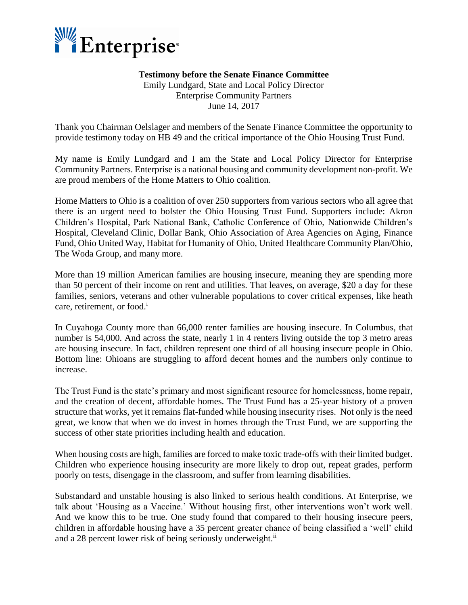

## **Testimony before the Senate Finance Committee**

Emily Lundgard, State and Local Policy Director Enterprise Community Partners June 14, 2017

Thank you Chairman Oelslager and members of the Senate Finance Committee the opportunity to provide testimony today on HB 49 and the critical importance of the Ohio Housing Trust Fund.

My name is Emily Lundgard and I am the State and Local Policy Director for Enterprise Community Partners. Enterprise is a national housing and community development non-profit. We are proud members of the Home Matters to Ohio coalition.

Home Matters to Ohio is a coalition of over 250 supporters from various sectors who all agree that there is an urgent need to bolster the Ohio Housing Trust Fund. Supporters include: Akron Children's Hospital, Park National Bank, Catholic Conference of Ohio, Nationwide Children's Hospital, Cleveland Clinic, Dollar Bank, Ohio Association of Area Agencies on Aging, Finance Fund, Ohio United Way, Habitat for Humanity of Ohio, United Healthcare Community Plan/Ohio, The Woda Group, and many more.

More than 19 million American families are housing insecure, meaning they are spending more than 50 percent of their income on rent and utilities. That leaves, on average, \$20 a day for these families, seniors, veterans and other vulnerable populations to cover critical expenses, like heath care, retirement, or food.<sup>i</sup>

In Cuyahoga County more than 66,000 renter families are housing insecure. In Columbus, that number is 54,000. And across the state, nearly 1 in 4 renters living outside the top 3 metro areas are housing insecure. In fact, children represent one third of all housing insecure people in Ohio. Bottom line: Ohioans are struggling to afford decent homes and the numbers only continue to increase.

The Trust Fund is the state's primary and most significant resource for homelessness, home repair, and the creation of decent, affordable homes. The Trust Fund has a 25-year history of a proven structure that works, yet it remains flat-funded while housing insecurity rises. Not only is the need great, we know that when we do invest in homes through the Trust Fund, we are supporting the success of other state priorities including health and education.

When housing costs are high, families are forced to make toxic trade-offs with their limited budget. Children who experience housing insecurity are more likely to drop out, repeat grades, perform poorly on tests, disengage in the classroom, and suffer from learning disabilities.

Substandard and unstable housing is also linked to serious health conditions. At Enterprise, we talk about 'Housing as a Vaccine.' Without housing first, other interventions won't work well. And we know this to be true. One study found that compared to their housing insecure peers, children in affordable housing have a 35 percent greater chance of being classified a 'well' child and a 28 percent lower risk of being seriously underweight.<sup>ii</sup>